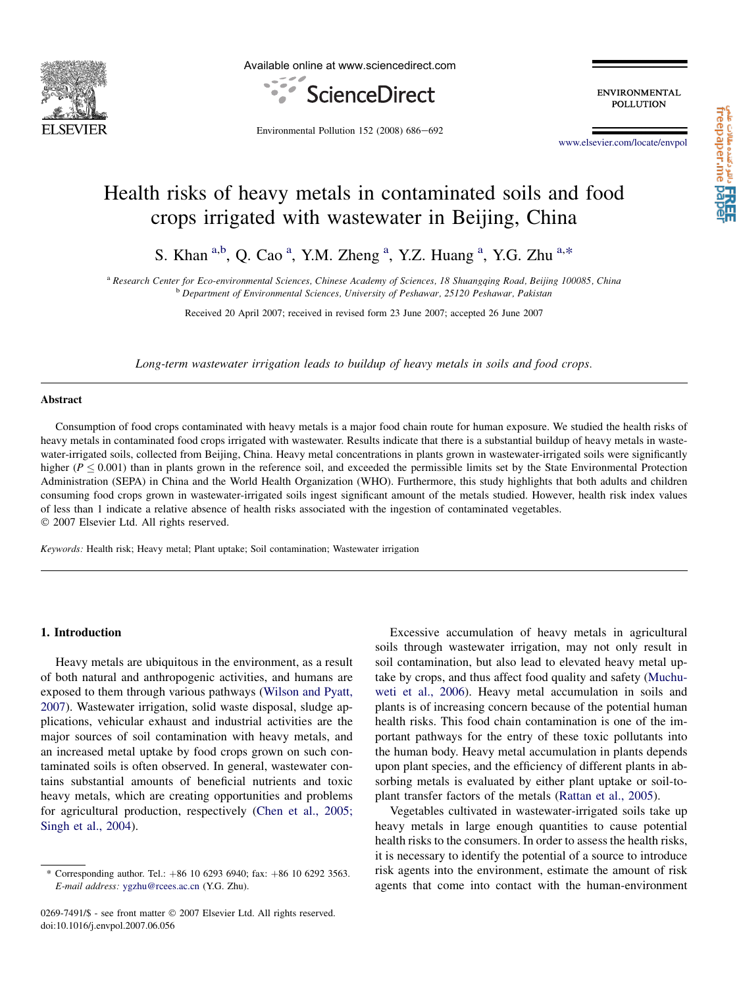

Available online at www.sciencedirect.com



**ENVIRONMENTAL** POLLUTION

Environmental Pollution  $152$  (2008) 686-692

[www.elsevier.com/locate/envpol](http://www.elsevier.com/locate/envpol)

# Health risks of heavy metals in contaminated soils and food crops irrigated with wastewater in Beijing, China

S. Khan <sup>a,b</sup>, Q. Cao<sup>a</sup>, Y.M. Zheng<sup>a</sup>, Y.Z. Huang<sup>a</sup>, Y.G. Zhu<sup>a,\*</sup>

a Research Center for Eco-environmental Sciences, Chinese Academy of Sciences, 18 Shuangqing Road, Beijing 100085, China b Department of Environmental Sciences, University of Peshawar, 25120 Peshawar, Pakistan

Received 20 April 2007; received in revised form 23 June 2007; accepted 26 June 2007

Long-term wastewater irrigation leads to buildup of heavy metals in soils and food crops.

## Abstract

Consumption of food crops contaminated with heavy metals is a major food chain route for human exposure. We studied the health risks of heavy metals in contaminated food crops irrigated with wastewater. Results indicate that there is a substantial buildup of heavy metals in wastewater-irrigated soils, collected from Beijing, China. Heavy metal concentrations in plants grown in wastewater-irrigated soils were significantly higher ( $P \le 0.001$ ) than in plants grown in the reference soil, and exceeded the permissible limits set by the State Environmental Protection Administration (SEPA) in China and the World Health Organization (WHO). Furthermore, this study highlights that both adults and children consuming food crops grown in wastewater-irrigated soils ingest significant amount of the metals studied. However, health risk index values of less than 1 indicate a relative absence of health risks associated with the ingestion of contaminated vegetables. © 2007 Elsevier Ltd. All rights reserved.

Keywords: Health risk; Heavy metal; Plant uptake; Soil contamination; Wastewater irrigation

## 1. Introduction

Heavy metals are ubiquitous in the environment, as a result of both natural and anthropogenic activities, and humans are exposed to them through various pathways ([Wilson and Pyatt,](#page-6-0) [2007\)](#page-6-0). Wastewater irrigation, solid waste disposal, sludge applications, vehicular exhaust and industrial activities are the major sources of soil contamination with heavy metals, and an increased metal uptake by food crops grown on such contaminated soils is often observed. In general, wastewater contains substantial amounts of beneficial nutrients and toxic heavy metals, which are creating opportunities and problems for agricultural production, respectively [\(Chen et al., 2005;](#page-6-0) [Singh et al., 2004](#page-6-0)).

0269-7491/\$ - see front matter © 2007 Elsevier Ltd. All rights reserved. doi:10.1016/j.envpol.2007.06.056

Excessive accumulation of heavy metals in agricultural soils through wastewater irrigation, may not only result in soil contamination, but also lead to elevated heavy metal uptake by crops, and thus affect food quality and safety [\(Muchu](#page-6-0)[weti et al., 2006\)](#page-6-0). Heavy metal accumulation in soils and plants is of increasing concern because of the potential human health risks. This food chain contamination is one of the important pathways for the entry of these toxic pollutants into the human body. Heavy metal accumulation in plants depends upon plant species, and the efficiency of different plants in absorbing metals is evaluated by either plant uptake or soil-toplant transfer factors of the metals ([Rattan et al., 2005](#page-6-0)).

Vegetables cultivated in wastewater-irrigated soils take up heavy metals in large enough quantities to cause potential health risks to the consumers. In order to assess the health risks, it is necessary to identify the potential of a source to introduce risk agents into the environment, estimate the amount of risk agents that come into contact with the human-environment

<sup>\*</sup> Corresponding author. Tel.:  $+86$  10 6293 6940; fax:  $+86$  10 6292 3563. E-mail address: [ygzhu@rcees.ac.cn](mailto:ygzhu@rcees.ac.cn) (Y.G. Zhu).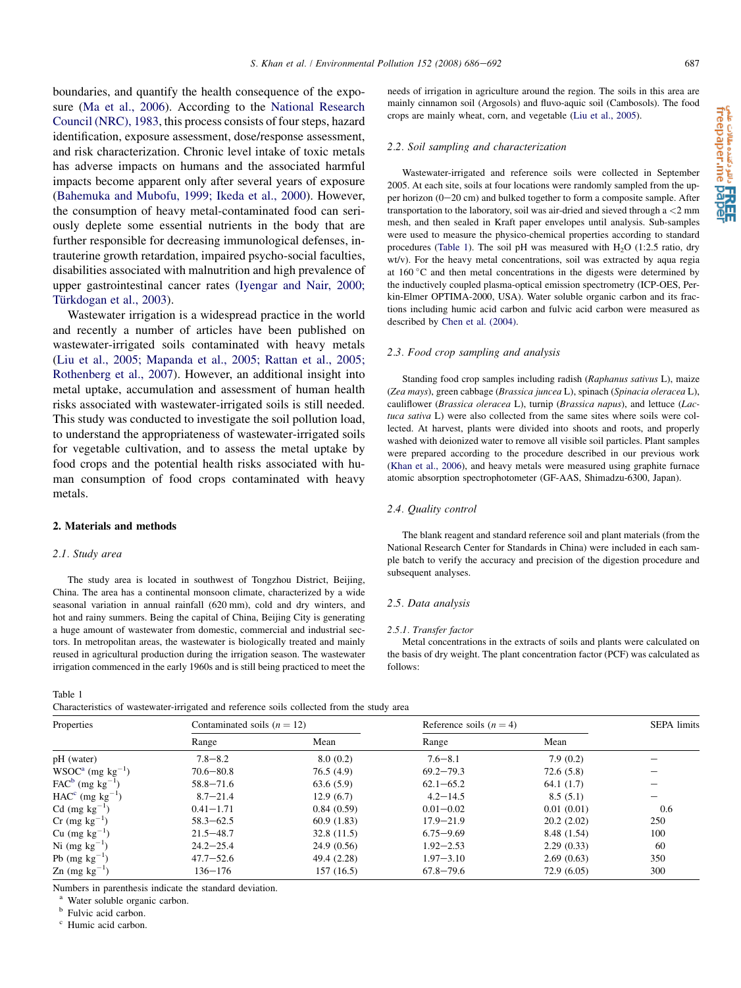needs of irrigation in agriculture around the region. The soils in this area are mainly cinnamon soil (Argosols) and fluvo-aquic soil (Cambosols). The food

#### 2.2. Soil sampling and characterization

crops are mainly wheat, corn, and vegetable [\(Liu et al., 2005\)](#page-6-0).

Wastewater-irrigated and reference soils were collected in September 2005. At each site, soils at four locations were randomly sampled from the upper horizon  $(0-20 \text{ cm})$  and bulked together to form a composite sample. After transportation to the laboratory, soil was air-dried and sieved through a <2 mm mesh, and then sealed in Kraft paper envelopes until analysis. Sub-samples were used to measure the physico-chemical properties according to standard procedures (Table 1). The soil pH was measured with  $H_2O$  (1:2.5 ratio, dry wt/v). For the heavy metal concentrations, soil was extracted by aqua regia at  $160\degree C$  and then metal concentrations in the digests were determined by the inductively coupled plasma-optical emission spectrometry (ICP-OES, Perkin-Elmer OPTIMA-2000, USA). Water soluble organic carbon and its fractions including humic acid carbon and fulvic acid carbon were measured as described by [Chen et al. \(2004\).](#page-6-0)

#### 2.3. Food crop sampling and analysis

Standing food crop samples including radish (Raphanus sativus L), maize (Zea mays), green cabbage (Brassica juncea L), spinach (Spinacia oleracea L), cauliflower (Brassica oleracea L), turnip (Brassica napus), and lettuce (Lactuca sativa L) were also collected from the same sites where soils were collected. At harvest, plants were divided into shoots and roots, and properly washed with deionized water to remove all visible soil particles. Plant samples were prepared according to the procedure described in our previous work [\(Khan et al., 2006](#page-6-0)), and heavy metals were measured using graphite furnace atomic absorption spectrophotometer (GF-AAS, Shimadzu-6300, Japan).

#### 2.4. Quality control

The blank reagent and standard reference soil and plant materials (from the National Research Center for Standards in China) were included in each sample batch to verify the accuracy and precision of the digestion procedure and subsequent analyses.

#### 2.5. Data analysis

#### 2.5.1. Transfer factor

Metal concentrations in the extracts of soils and plants were calculated on the basis of dry weight. The plant concentration factor (PCF) was calculated as follows:

<span id="page-1-0"></span>boundaries, and quantify the health consequence of the exposure ([Ma et al., 2006\)](#page-6-0). According to the [National Research](#page-6-0) [Council \(NRC\), 1983,](#page-6-0) this process consists of four steps, hazard identification, exposure assessment, dose/response assessment, and risk characterization. Chronic level intake of toxic metals has adverse impacts on humans and the associated harmful impacts become apparent only after several years of exposure ([Bahemuka and Mubofu, 1999; Ikeda et al., 2000](#page-6-0)). However, the consumption of heavy metal-contaminated food can seriously deplete some essential nutrients in the body that are further responsible for decreasing immunological defenses, intrauterine growth retardation, impaired psycho-social faculties, disabilities associated with malnutrition and high prevalence of upper gastrointestinal cancer rates ([Iyengar and Nair, 2000;](#page-6-0) Türkdogan et al., 2003).

Wastewater irrigation is a widespread practice in the world and recently a number of articles have been published on wastewater-irrigated soils contaminated with heavy metals ([Liu et al., 2005; Mapanda et al., 2005; Rattan et al., 2005;](#page-6-0) [Rothenberg et al., 2007](#page-6-0)). However, an additional insight into metal uptake, accumulation and assessment of human health risks associated with wastewater-irrigated soils is still needed. This study was conducted to investigate the soil pollution load, to understand the appropriateness of wastewater-irrigated soils for vegetable cultivation, and to assess the metal uptake by food crops and the potential health risks associated with human consumption of food crops contaminated with heavy metals.

#### 2. Materials and methods

#### 2.1. Study area

The study area is located in southwest of Tongzhou District, Beijing, China. The area has a continental monsoon climate, characterized by a wide seasonal variation in annual rainfall (620 mm), cold and dry winters, and hot and rainy summers. Being the capital of China, Beijing City is generating a huge amount of wastewater from domestic, commercial and industrial sectors. In metropolitan areas, the wastewater is biologically treated and mainly reused in agricultural production during the irrigation season. The wastewater irrigation commenced in the early 1960s and is still being practiced to meet the

Table 1

Characteristics of wastewater-irrigated and reference soils collected from the study area

| Properties                         | Contaminated soils $(n = 12)$ |             | Reference soils $(n = 4)$ | <b>SEPA</b> limits |     |
|------------------------------------|-------------------------------|-------------|---------------------------|--------------------|-----|
|                                    | Range                         | Mean        | Range                     | Mean               |     |
| pH (water)                         | $7.8 - 8.2$                   | 8.0(0.2)    | $7.6 - 8.1$               | 7.9(0.2)           |     |
| $WSOCa$ (mg kg <sup>-1</sup> )     | $70.6 - 80.8$                 | 76.5(4.9)   | $69.2 - 79.3$             | 72.6(5.8)          |     |
| $FAC^b$ (mg kg <sup>-1</sup> )     | $58.8 - 71.6$                 | 63.6(5.9)   | $62.1 - 65.2$             | 64.1(1.7)          |     |
| $HACc$ (mg kg <sup>-1</sup> )      | $8.7 - 21.4$                  | 12.9(6.7)   | $4.2 - 14.5$              | 8.5(5.1)           |     |
| $Cd$ (mg kg <sup>-1</sup> )        | $0.41 - 1.71$                 | 0.84(0.59)  | $0.01 - 0.02$             | 0.01(0.01)         | 0.6 |
| $Cr$ (mg kg <sup>-1</sup> )        | $58.3 - 62.5$                 | 60.9(1.83)  | $17.9 - 21.9$             | 20.2(2.02)         | 250 |
| Cu $(mg kg^{-1})$                  | $21.5 - 48.7$                 | 32.8(11.5)  | $6.75 - 9.69$             | 8.48 (1.54)        | 100 |
| Ni $(mg kg^{-1})$                  | $24.2 - 25.4$                 | 24.9(0.56)  | $1.92 - 2.53$             | 2.29(0.33)         | 60  |
| Pb $(mg kg^{-1})$                  | $47.7 - 52.6$                 | 49.4 (2.28) | $1.97 - 3.10$             | 2.69(0.63)         | 350 |
| $\text{Zn}$ (mg kg <sup>-1</sup> ) | 136–176                       | 157(16.5)   | $67.8 - 79.6$             | 72.9 (6.05)        | 300 |

Numbers in parenthesis indicate the standard deviation.

<sup>a</sup> Water soluble organic carbon.<br><sup>b</sup> Fulvic acid carbon.<br><sup>c</sup> Humic acid carbon.

ala Chia منتدمةالات علمي<br>freepaper.me paper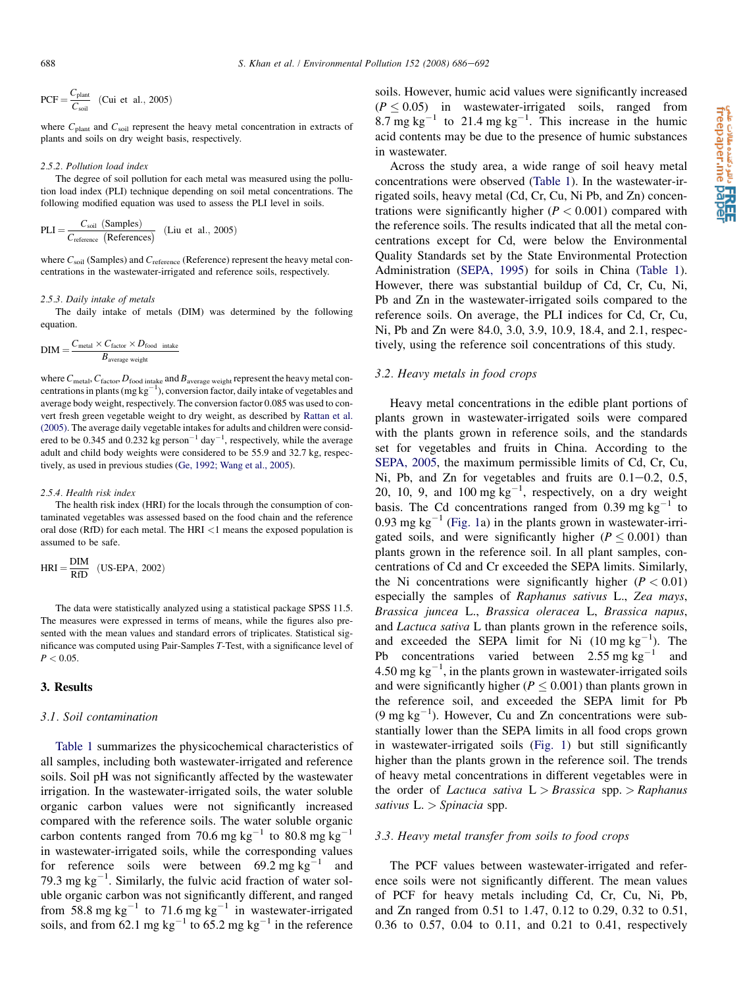$$
PCF = \frac{C_{\text{plant}}}{C_{\text{soil}}} \quad \text{(Cui et al., 2005)}
$$

where  $C_{\text{plant}}$  and  $C_{\text{solid}}$  represent the heavy metal concentration in extracts of plants and soils on dry weight basis, respectively.

#### 2.5.2. Pollution load index

The degree of soil pollution for each metal was measured using the pollution load index (PLI) technique depending on soil metal concentrations. The following modified equation was used to assess the PLI level in soils.

$$
PLI = \frac{C_{\text{soil}} \text{ (Samples)}}{C_{\text{reference}} \text{ (References)}}
$$
 (Liu et al., 2005)

where  $C_{\text{soil}}$  (Samples) and  $C_{\text{reference}}$  (Reference) represent the heavy metal concentrations in the wastewater-irrigated and reference soils, respectively.

#### 2.5.3. Daily intake of metals

The daily intake of metals (DIM) was determined by the following equation.

$$
DIM = \frac{C_{\text{metal}} \times C_{\text{factor}} \times D_{\text{food}}}{B_{\text{average weight}}}
$$

where  $C_{\text{metal}}$ ,  $C_{\text{factor}}$ ,  $D_{\text{food intake}}$  and  $B_{\text{average weight}}$  represent the heavy metal concentrations in plants (mg  $kg^{-1}$ ), conversion factor, daily intake of vegetables and average body weight, respectively. The conversion factor 0.085 was used to convert fresh green vegetable weight to dry weight, as described by [Rattan et al.](#page-6-0) [\(2005\).](#page-6-0) The average daily vegetable intakes for adults and children were considered to be 0.345 and 0.232 kg person<sup>-1</sup> day<sup>-1</sup>, respectively, while the average adult and child body weights were considered to be 55.9 and 32.7 kg, respectively, as used in previous studies [\(Ge, 1992; Wang et al., 2005\)](#page-6-0).

#### 2.5.4. Health risk index

The health risk index (HRI) for the locals through the consumption of contaminated vegetables was assessed based on the food chain and the reference oral dose (RfD) for each metal. The HRI  $\leq$ 1 means the exposed population is assumed to be safe.

$$
HRI = \frac{DIM}{RfD} \quad (US-EPA, 2002)
$$

The data were statistically analyzed using a statistical package SPSS 11.5. The measures were expressed in terms of means, while the figures also presented with the mean values and standard errors of triplicates. Statistical significance was computed using Pair-Samples T-Test, with a significance level of  $P < 0.05$ .

## 3. Results

#### 3.1. Soil contamination

[Table 1](#page-1-0) summarizes the physicochemical characteristics of all samples, including both wastewater-irrigated and reference soils. Soil pH was not significantly affected by the wastewater irrigation. In the wastewater-irrigated soils, the water soluble organic carbon values were not significantly increased compared with the reference soils. The water soluble organic carbon contents ranged from 70.6 mg kg<sup>-1</sup> to 80.8 mg kg<sup>-1</sup> in wastewater-irrigated soils, while the corresponding values for reference soils were between 69.2 mg kg<sup>-1</sup> and 79.3 mg  $kg^{-1}$ . Similarly, the fulvic acid fraction of water soluble organic carbon was not significantly different, and ranged from 58.8 mg kg<sup>-1</sup> to 71.6 mg kg<sup>-1</sup> in wastewater-irrigated soils, and from 62.1 mg kg<sup>-1</sup> to 65.2 mg kg<sup>-1</sup> in the reference

soils. However, humic acid values were significantly increased  $(P \le 0.05)$  in wastewater-irrigated soils, ranged from 8.7 mg kg<sup>-1</sup> to 21.4 mg kg<sup>-1</sup>. This increase in the humic acid contents may be due to the presence of humic substances in wastewater.

Across the study area, a wide range of soil heavy metal concentrations were observed ([Table 1](#page-1-0)). In the wastewater-irrigated soils, heavy metal (Cd, Cr, Cu, Ni Pb, and Zn) concentrations were significantly higher  $(P < 0.001)$  compared with the reference soils. The results indicated that all the metal concentrations except for Cd, were below the Environmental Quality Standards set by the State Environmental Protection Administration ([SEPA, 1995\)](#page-6-0) for soils in China ([Table 1\)](#page-1-0). However, there was substantial buildup of Cd, Cr, Cu, Ni, Pb and Zn in the wastewater-irrigated soils compared to the reference soils. On average, the PLI indices for Cd, Cr, Cu, Ni, Pb and Zn were 84.0, 3.0, 3.9, 10.9, 18.4, and 2.1, respectively, using the reference soil concentrations of this study.

#### 3.2. Heavy metals in food crops

Heavy metal concentrations in the edible plant portions of plants grown in wastewater-irrigated soils were compared with the plants grown in reference soils, and the standards set for vegetables and fruits in China. According to the [SEPA, 2005](#page-6-0), the maximum permissible limits of Cd, Cr, Cu, Ni, Pb, and Zn for vegetables and fruits are  $0.1-0.2$ ,  $0.5$ , 20, 10, 9, and 100 mg  $kg^{-1}$ , respectively, on a dry weight basis. The Cd concentrations ranged from 0.39 mg  $kg^{-1}$  to 0.93 mg kg<sup>-1</sup> ([Fig. 1](#page-3-0)a) in the plants grown in wastewater-irrigated soils, and were significantly higher ( $P \le 0.001$ ) than plants grown in the reference soil. In all plant samples, concentrations of Cd and Cr exceeded the SEPA limits. Similarly, the Ni concentrations were significantly higher  $(P < 0.01)$ especially the samples of Raphanus sativus L., Zea mays, Brassica juncea L., Brassica oleracea L, Brassica napus, and Lactuca sativa L than plants grown in the reference soils, and exceeded the SEPA limit for Ni  $(10 \text{ mg kg}^{-1})$ . The Pb concentrations varied between  $2.55 \text{ mg kg}^{-1}$  and 4.50 mg  $kg^{-1}$ , in the plants grown in wastewater-irrigated soils and were significantly higher ( $P \leq 0.001$ ) than plants grown in the reference soil, and exceeded the SEPA limit for Pb  $(9 \text{ mg kg}^{-1})$ . However, Cu and Zn concentrations were substantially lower than the SEPA limits in all food crops grown in wastewater-irrigated soils ([Fig. 1\)](#page-3-0) but still significantly higher than the plants grown in the reference soil. The trends of heavy metal concentrations in different vegetables were in the order of *Lactuca sativa*  $L > B$ rassica spp. > Raphanus sativus  $L \nightharpoonup$  Spinacia spp.

# 3.3. Heavy metal transfer from soils to food crops

The PCF values between wastewater-irrigated and reference soils were not significantly different. The mean values of PCF for heavy metals including Cd, Cr, Cu, Ni, Pb, and Zn ranged from 0.51 to 1.47, 0.12 to 0.29, 0.32 to 0.51, 0.36 to 0.57, 0.04 to 0.11, and 0.21 to 0.41, respectively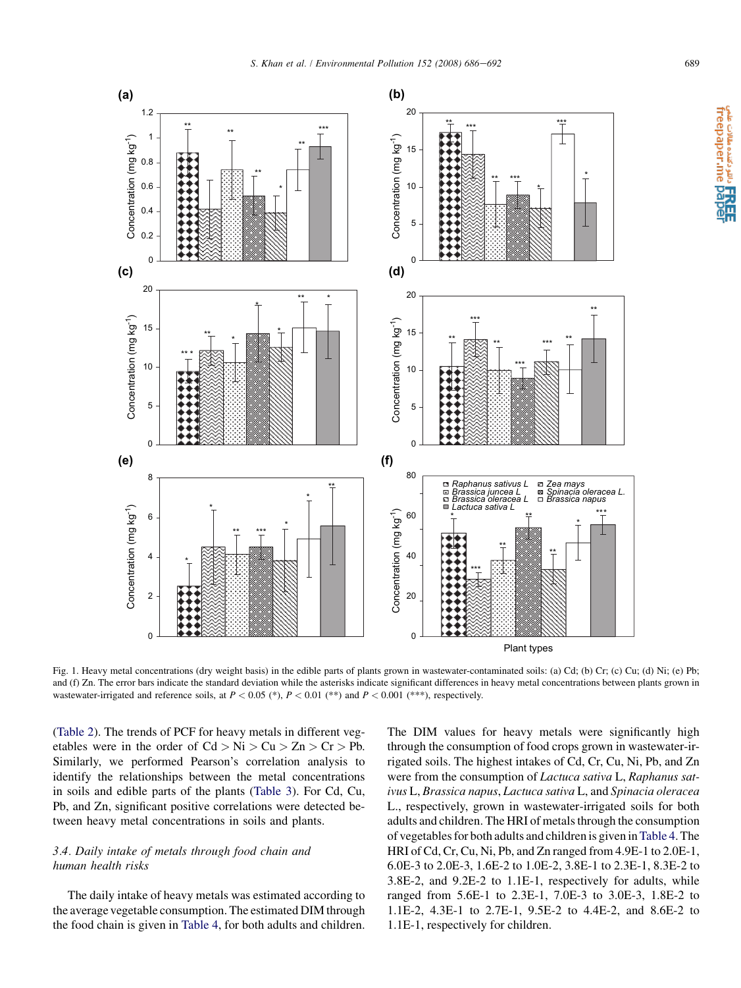TREE<br>freepaper.me pape

<span id="page-3-0"></span>

Fig. 1. Heavy metal concentrations (dry weight basis) in the edible parts of plants grown in wastewater-contaminated soils: (a) Cd; (b) Cr; (c) Cu; (d) Ni; (e) Pb; and (f) Zn. The error bars indicate the standard deviation while the asterisks indicate significant differences in heavy metal concentrations between plants grown in wastewater-irrigated and reference soils, at  $P < 0.05$  (\*),  $P < 0.01$  (\*\*) and  $P < 0.001$  (\*\*\*), respectively.

([Table 2](#page-4-0)). The trends of PCF for heavy metals in different vegetables were in the order of  $Cd > Ni > Cu > Zn > Cr > Pb$ . Similarly, we performed Pearson's correlation analysis to identify the relationships between the metal concentrations in soils and edible parts of the plants [\(Table 3\)](#page-4-0). For Cd, Cu, Pb, and Zn, significant positive correlations were detected between heavy metal concentrations in soils and plants.

# 3.4. Daily intake of metals through food chain and human health risks

The daily intake of heavy metals was estimated according to the average vegetable consumption. The estimated DIM through the food chain is given in [Table 4,](#page-5-0) for both adults and children. The DIM values for heavy metals were significantly high through the consumption of food crops grown in wastewater-irrigated soils. The highest intakes of Cd, Cr, Cu, Ni, Pb, and Zn were from the consumption of Lactuca sativa L, Raphanus sativus L, Brassica napus, Lactuca sativa L, and Spinacia oleracea L., respectively, grown in wastewater-irrigated soils for both adults and children. The HRI of metals through the consumption of vegetables for both adults and children is given in[Table 4.](#page-5-0) The HRI of Cd, Cr, Cu, Ni, Pb, and Zn ranged from 4.9E-1 to 2.0E-1, 6.0E-3 to 2.0E-3, 1.6E-2 to 1.0E-2, 3.8E-1 to 2.3E-1, 8.3E-2 to 3.8E-2, and 9.2E-2 to 1.1E-1, respectively for adults, while ranged from 5.6E-1 to 2.3E-1, 7.0E-3 to 3.0E-3, 1.8E-2 to 1.1E-2, 4.3E-1 to 2.7E-1, 9.5E-2 to 4.4E-2, and 8.6E-2 to 1.1E-1, respectively for children.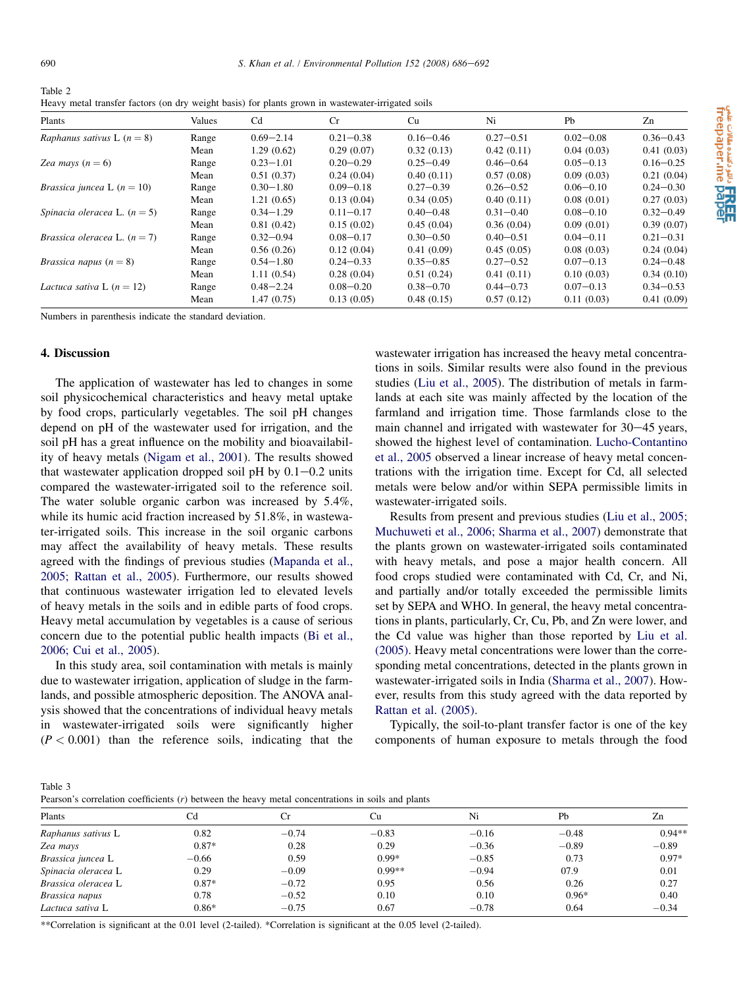<span id="page-4-0"></span>

| Table 2                                                                                           |
|---------------------------------------------------------------------------------------------------|
| Heavy metal transfer factors (on dry weight basis) for plants grown in wastewater-irrigated soils |

| Plants                                | Values | C <sub>d</sub> | Cr            | Cu            | Ni            | Pb            | Zn            |
|---------------------------------------|--------|----------------|---------------|---------------|---------------|---------------|---------------|
| Raphanus sativus L $(n = 8)$          | Range  | $0.69 - 2.14$  | $0.21 - 0.38$ | $0.16 - 0.46$ | $0.27 - 0.51$ | $0.02 - 0.08$ | $0.36 - 0.43$ |
|                                       | Mean   | 1.29(0.62)     | 0.29(0.07)    | 0.32(0.13)    | 0.42(0.11)    | 0.04(0.03)    | 0.41(0.03)    |
| Zea mays $(n = 6)$                    | Range  | $0.23 - 1.01$  | $0.20 - 0.29$ | $0.25 - 0.49$ | $0.46 - 0.64$ | $0.05 - 0.13$ | $0.16 - 0.25$ |
|                                       | Mean   | 0.51(0.37)     | 0.24(0.04)    | 0.40(0.11)    | 0.57(0.08)    | 0.09(0.03)    | 0.21(0.04)    |
| <i>Brassica juncea</i> L $(n = 10)$   | Range  | $0.30 - 1.80$  | $0.09 - 0.18$ | $0.27 - 0.39$ | $0.26 - 0.52$ | $0.06 - 0.10$ | $0.24 - 0.30$ |
|                                       | Mean   | 1.21(0.65)     | 0.13(0.04)    | 0.34(0.05)    | 0.40(0.11)    | 0.08(0.01)    | 0.27(0.03)    |
| Spinacia oleracea L. $(n = 5)$        | Range  | $0.34 - 1.29$  | $0.11 - 0.17$ | $0.40 - 0.48$ | $0.31 - 0.40$ | $0.08 - 0.10$ | $0.32 - 0.49$ |
|                                       | Mean   | 0.81(0.42)     | 0.15(0.02)    | 0.45(0.04)    | 0.36(0.04)    | 0.09(0.01)    | 0.39(0.07)    |
| <i>Brassica oleracea</i> L. $(n = 7)$ | Range  | $0.32 - 0.94$  | $0.08 - 0.17$ | $0.30 - 0.50$ | $0.40 - 0.51$ | $0.04 - 0.11$ | $0.21 - 0.31$ |
|                                       | Mean   | 0.56(0.26)     | 0.12(0.04)    | 0.41(0.09)    | 0.45(0.05)    | 0.08(0.03)    | 0.24(0.04)    |
| <i>Brassica napus</i> $(n = 8)$       | Range  | $0.54 - 1.80$  | $0.24 - 0.33$ | $0.35 - 0.85$ | $0.27 - 0.52$ | $0.07 - 0.13$ | $0.24 - 0.48$ |
|                                       | Mean   | 1.11(0.54)     | 0.28(0.04)    | 0.51(0.24)    | 0.41(0.11)    | 0.10(0.03)    | 0.34(0.10)    |
| Lactuca sativa L $(n = 12)$           | Range  | $0.48 - 2.24$  | $0.08 - 0.20$ | $0.38 - 0.70$ | $0.44 - 0.73$ | $0.07 - 0.13$ | $0.34 - 0.53$ |
|                                       | Mean   | 1.47(0.75)     | 0.13(0.05)    | 0.48(0.15)    | 0.57(0.12)    | 0.11(0.03)    | 0.41(0.09)    |

Numbers in parenthesis indicate the standard deviation.

## 4. Discussion

The application of wastewater has led to changes in some soil physicochemical characteristics and heavy metal uptake by food crops, particularly vegetables. The soil pH changes depend on pH of the wastewater used for irrigation, and the soil pH has a great influence on the mobility and bioavailability of heavy metals ([Nigam et al., 2001\)](#page-6-0). The results showed that wastewater application dropped soil pH by  $0.1 - 0.2$  units compared the wastewater-irrigated soil to the reference soil. The water soluble organic carbon was increased by 5.4%, while its humic acid fraction increased by 51.8%, in wastewater-irrigated soils. This increase in the soil organic carbons may affect the availability of heavy metals. These results agreed with the findings of previous studies ([Mapanda et al.,](#page-6-0) [2005; Rattan et al., 2005\)](#page-6-0). Furthermore, our results showed that continuous wastewater irrigation led to elevated levels of heavy metals in the soils and in edible parts of food crops. Heavy metal accumulation by vegetables is a cause of serious concern due to the potential public health impacts [\(Bi et al.,](#page-6-0) [2006; Cui et al., 2005\)](#page-6-0).

In this study area, soil contamination with metals is mainly due to wastewater irrigation, application of sludge in the farmlands, and possible atmospheric deposition. The ANOVA analysis showed that the concentrations of individual heavy metals in wastewater-irrigated soils were significantly higher  $(P < 0.001)$  than the reference soils, indicating that the wastewater irrigation has increased the heavy metal concentrations in soils. Similar results were also found in the previous studies [\(Liu et al., 2005](#page-6-0)). The distribution of metals in farmlands at each site was mainly affected by the location of the farmland and irrigation time. Those farmlands close to the main channel and irrigated with wastewater for  $30-45$  years, showed the highest level of contamination. [Lucho-Contantino](#page-6-0) [et al., 2005](#page-6-0) observed a linear increase of heavy metal concentrations with the irrigation time. Except for Cd, all selected metals were below and/or within SEPA permissible limits in wastewater-irrigated soils.

Results from present and previous studies [\(Liu et al., 2005;](#page-6-0) [Muchuweti et al., 2006; Sharma et al., 2007\)](#page-6-0) demonstrate that the plants grown on wastewater-irrigated soils contaminated with heavy metals, and pose a major health concern. All food crops studied were contaminated with Cd, Cr, and Ni, and partially and/or totally exceeded the permissible limits set by SEPA and WHO. In general, the heavy metal concentrations in plants, particularly, Cr, Cu, Pb, and Zn were lower, and the Cd value was higher than those reported by [Liu et al.](#page-6-0) [\(2005\)](#page-6-0). Heavy metal concentrations were lower than the corresponding metal concentrations, detected in the plants grown in wastewater-irrigated soils in India [\(Sharma et al., 2007\)](#page-6-0). However, results from this study agreed with the data reported by [Rattan et al. \(2005\).](#page-6-0)

Typically, the soil-to-plant transfer factor is one of the key components of human exposure to metals through the food

Table 3

Pearson's correlation coefficients (r) between the heavy metal concentrations in soils and plants

| Plants              | Cd      | Cr      | Cu       | Ni      | Pb      | Zn       |  |  |
|---------------------|---------|---------|----------|---------|---------|----------|--|--|
| Raphanus sativus L  | 0.82    | $-0.74$ | $-0.83$  | $-0.16$ | $-0.48$ | $0.94**$ |  |  |
| Zea mays            | $0.87*$ | 0.28    | 0.29     | $-0.36$ | $-0.89$ | $-0.89$  |  |  |
| Brassica juncea L   | $-0.66$ | 0.59    | $0.99*$  | $-0.85$ | 0.73    | $0.97*$  |  |  |
| Spinacia oleracea L | 0.29    | $-0.09$ | $0.99**$ | $-0.94$ | 07.9    | 0.01     |  |  |
| Brassica oleracea L | $0.87*$ | $-0.72$ | 0.95     | 0.56    | 0.26    | 0.27     |  |  |
| Brassica napus      | 0.78    | $-0.52$ | 0.10     | 0.10    | $0.96*$ | 0.40     |  |  |
| Lactuca sativa L    | $0.86*$ | $-0.75$ | 0.67     | $-0.78$ | 0.64    | $-0.34$  |  |  |

a تا**کام دائن**ده مقالات میم.<br>freepaper.me **pape** 

\*\*Correlation is significant at the 0.01 level (2-tailed). \*Correlation is significant at the 0.05 level (2-tailed).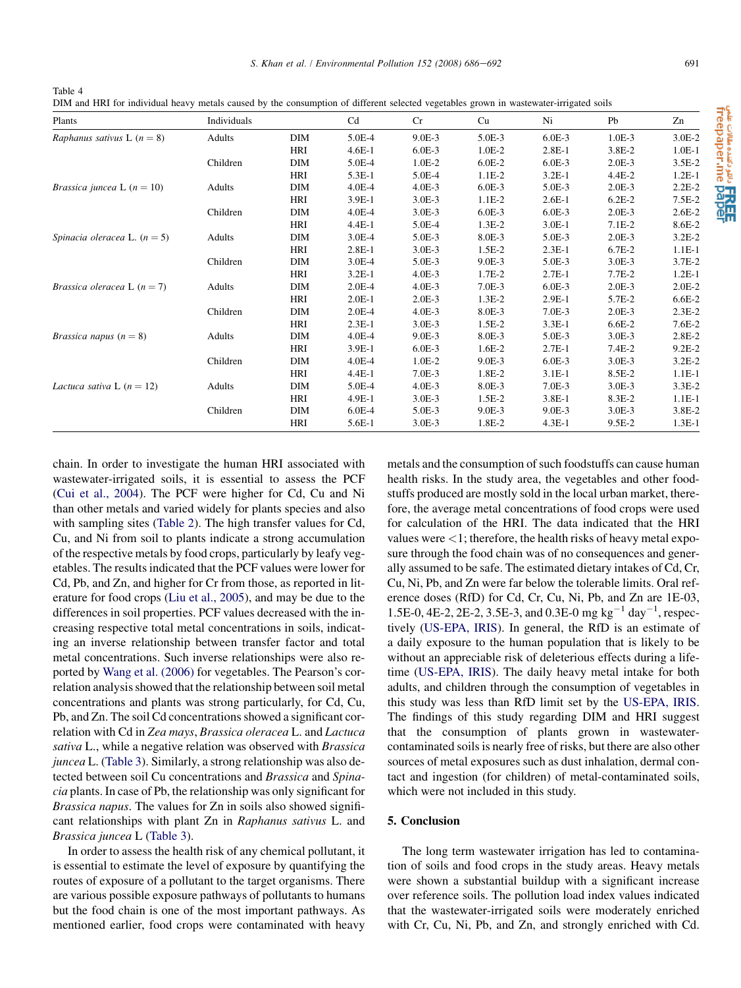<span id="page-5-0"></span>

| Table 4                                                                                                                                |  |  |  |  |
|----------------------------------------------------------------------------------------------------------------------------------------|--|--|--|--|
| DIM and HRI for individual heavy metals caused by the consumption of different selected vegetables grown in wastewater-irrigated soils |  |  |  |  |

| Plants                               | Individuals |            | C <sub>d</sub> | Cr       | Cu       | Ni       | Pb       | Zn         |
|--------------------------------------|-------------|------------|----------------|----------|----------|----------|----------|------------|
| Raphanus sativus L $(n = 8)$         | Adults      | DIM        | 5.0E-4         | $9.0E-3$ | 5.0E-3   | $6.0E-3$ | $1.0E-3$ | $3.0E-2$   |
|                                      |             | HRI        | $4.6E-1$       | $6.0E-3$ | $1.0E-2$ | $2.8E-1$ | 3.8E-2   | $1.0E-1$   |
|                                      | Children    | DIM        | 5.0E-4         | $1.0E-2$ | $6.0E-2$ | $6.0E-3$ | $2.0E-3$ | $3.5E-2$   |
|                                      |             | HRI        | 5.3E-1         | 5.0E-4   | $1.1E-2$ | $3.2E-1$ | $4.4E-2$ | $1.2E-1$   |
| <i>Brassica juncea</i> L $(n = 10)$  | Adults      | DIM        | $4.0E-4$       | $4.0E-3$ | $6.0E-3$ | 5.0E-3   | $2.0E-3$ | $2.2E-2$   |
|                                      |             | <b>HRI</b> | $3.9E-1$       | $3.0E-3$ | $1.1E-2$ | $2.6E-1$ | $6.2E-2$ | $7.5E-2$   |
|                                      | Children    | DIM        | $4.0E - 4$     | $3.0E-3$ | $6.0E-3$ | $6.0E-3$ | $2.0E-3$ | $2.6E-2$   |
|                                      |             | HRI        | $4.4E-1$       | 5.0E-4   | $1.3E-2$ | $3.0E-1$ | $7.1E-2$ | 8.6E-2     |
| Spinacia oleracea L. $(n = 5)$       | Adults      | DIM        | $3.0E-4$       | $5.0E-3$ | 8.0E-3   | 5.0E-3   | $2.0E-3$ | $3.2E-2$   |
|                                      |             | HRI        | $2.8E-1$       | $3.0E-3$ | $1.5E-2$ | $2.3E-1$ | $6.7E-2$ | $1.1E-1$   |
|                                      | Children    | DIM        | $3.0E-4$       | 5.0E-3   | $9.0E-3$ | 5.0E-3   | $3.0E-3$ | $3.7E-2$   |
|                                      |             | HRI        | $3.2E-1$       | $4.0E-3$ | $1.7E-2$ | $2.7E-1$ | $7.7E-2$ | $1.2E-1$   |
| <i>Brassica oleracea</i> L $(n = 7)$ | Adults      | <b>DIM</b> | $2.0E-4$       | $4.0E-3$ | $7.0E-3$ | $6.0E-3$ | $2.0E-3$ | $2.0E-2$   |
|                                      |             | HRI        | $2.0E-1$       | $2.0E-3$ | $1.3E-2$ | $2.9E-1$ | 5.7E-2   | $6.6E-2$   |
|                                      | Children    | DIM        | $2.0E-4$       | $4.0E-3$ | 8.0E-3   | $7.0E-3$ | $2.0E-3$ | $2.3E-2$   |
|                                      |             | HRI        | $2.3E-1$       | $3.0E-3$ | $1.5E-2$ | $3.3E-1$ | $6.6E-2$ | $7.6E-2$   |
| <i>Brassica napus</i> $(n = 8)$      | Adults      | DIM        | $4.0E - 4$     | $9.0E-3$ | 8.0E-3   | 5.0E-3   | $3.0E-3$ | $2.8E-2$   |
|                                      |             | <b>HRI</b> | 3.9E-1         | $6.0E-3$ | $1.6E-2$ | $2.7E-1$ | $7.4E-2$ | $9.2E - 2$ |
|                                      | Children    | DIM        | $4.0E-4$       | $1.0E-2$ | $9.0E-3$ | $6.0E-3$ | $3.0E-3$ | $3.2E-2$   |
|                                      |             | HRI        | $4.4E-1$       | $7.0E-3$ | 1.8E-2   | $3.1E-1$ | 8.5E-2   | $1.1E-1$   |
| Lactuca sativa L $(n = 12)$          | Adults      | DIM        | 5.0E-4         | $4.0E-3$ | 8.0E-3   | $7.0E-3$ | $3.0E-3$ | $3.3E-2$   |
|                                      |             | HRI        | $4.9E-1$       | $3.0E-3$ | $1.5E-2$ | $3.8E-1$ | $8.3E-2$ | $1.1E-1$   |
|                                      | Children    | DIM        | $6.0E-4$       | $5.0E-3$ | $9.0E-3$ | $9.0E-3$ | 3.0E-3   | 3.8E-2     |
|                                      |             | HRI        | 5.6E-1         | $3.0E-3$ | 1.8E-2   | $4.3E-1$ | $9.5E-2$ | $1.3E-1$   |

chain. In order to investigate the human HRI associated with wastewater-irrigated soils, it is essential to assess the PCF ([Cui et al., 2004\)](#page-6-0). The PCF were higher for Cd, Cu and Ni than other metals and varied widely for plants species and also with sampling sites [\(Table 2](#page-4-0)). The high transfer values for Cd, Cu, and Ni from soil to plants indicate a strong accumulation of the respective metals by food crops, particularly by leafy vegetables. The results indicated that the PCF values were lower for Cd, Pb, and Zn, and higher for Cr from those, as reported in literature for food crops ([Liu et al., 2005\)](#page-6-0), and may be due to the differences in soil properties. PCF values decreased with the increasing respective total metal concentrations in soils, indicating an inverse relationship between transfer factor and total metal concentrations. Such inverse relationships were also reported by [Wang et al. \(2006\)](#page-6-0) for vegetables. The Pearson's correlation analysis showed that the relationship between soil metal concentrations and plants was strong particularly, for Cd, Cu, Pb, and Zn. The soil Cd concentrations showed a significant correlation with Cd in Zea mays, Brassica oleracea L. and Lactuca sativa L., while a negative relation was observed with *Brassica* juncea L. ([Table 3\)](#page-4-0). Similarly, a strong relationship was also detected between soil Cu concentrations and Brassica and Spinacia plants. In case of Pb, the relationship was only significant for Brassica napus. The values for Zn in soils also showed significant relationships with plant Zn in Raphanus sativus L. and Brassica juncea L [\(Table 3](#page-4-0)).

In order to assess the health risk of any chemical pollutant, it is essential to estimate the level of exposure by quantifying the routes of exposure of a pollutant to the target organisms. There are various possible exposure pathways of pollutants to humans but the food chain is one of the most important pathways. As mentioned earlier, food crops were contaminated with heavy metals and the consumption of such foodstuffs can cause human health risks. In the study area, the vegetables and other foodstuffs produced are mostly sold in the local urban market, therefore, the average metal concentrations of food crops were used for calculation of the HRI. The data indicated that the HRI values were  $\langle 1$ ; therefore, the health risks of heavy metal exposure through the food chain was of no consequences and generally assumed to be safe. The estimated dietary intakes of Cd, Cr, Cu, Ni, Pb, and Zn were far below the tolerable limits. Oral reference doses (RfD) for Cd, Cr, Cu, Ni, Pb, and Zn are 1E-03, 1.5E-0, 4E-2, 2E-2, 3.5E-3, and 0.3E-0 mg  $kg^{-1}$  day<sup>-1</sup>, respectively [\(US-EPA, IRIS\)](#page-6-0). In general, the RfD is an estimate of a daily exposure to the human population that is likely to be without an appreciable risk of deleterious effects during a lifetime [\(US-EPA, IRIS](#page-6-0)). The daily heavy metal intake for both adults, and children through the consumption of vegetables in this study was less than RfD limit set by the [US-EPA, IRIS](#page-6-0). The findings of this study regarding DIM and HRI suggest that the consumption of plants grown in wastewatercontaminated soils is nearly free of risks, but there are also other sources of metal exposures such as dust inhalation, dermal contact and ingestion (for children) of metal-contaminated soils, which were not included in this study.

# 5. Conclusion

The long term wastewater irrigation has led to contamination of soils and food crops in the study areas. Heavy metals were shown a substantial buildup with a significant increase over reference soils. The pollution load index values indicated that the wastewater-irrigated soils were moderately enriched with Cr, Cu, Ni, Pb, and Zn, and strongly enriched with Cd.